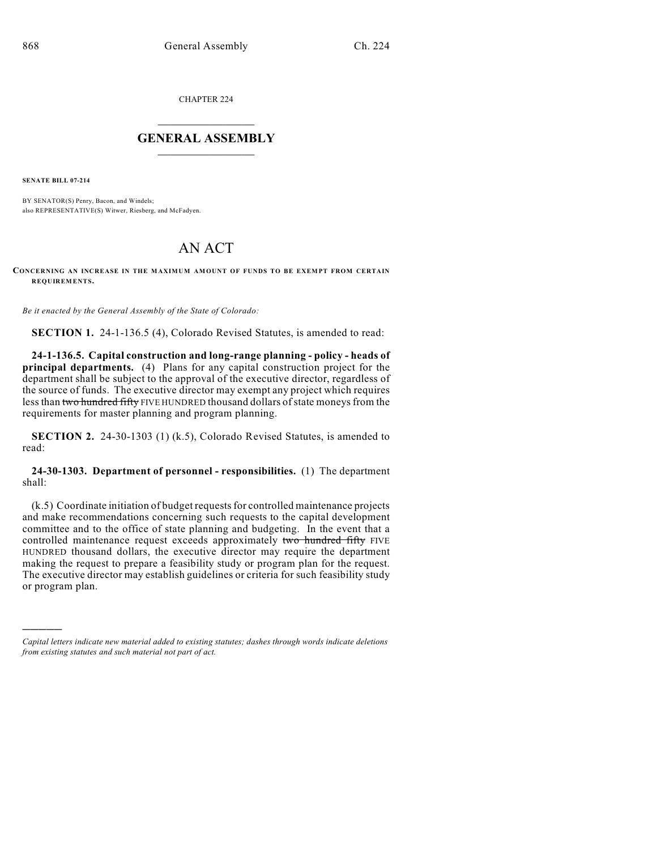CHAPTER 224

## $\mathcal{L}_\text{max}$  . The set of the set of the set of the set of the set of the set of the set of the set of the set of the set of the set of the set of the set of the set of the set of the set of the set of the set of the set **GENERAL ASSEMBLY**  $\frac{1}{\sqrt{2}}$

**SENATE BILL 07-214**

)))))

BY SENATOR(S) Penry, Bacon, and Windels; also REPRESENTATIVE(S) Witwer, Riesberg, and McFadyen.

## AN ACT

## **CONCERNING AN INCREASE IN THE MAXIMUM AMOUNT OF FUNDS TO BE EXEMPT FROM CERTAIN REQUIREMENTS.**

*Be it enacted by the General Assembly of the State of Colorado:*

**SECTION 1.** 24-1-136.5 (4), Colorado Revised Statutes, is amended to read:

**24-1-136.5. Capital construction and long-range planning - policy - heads of principal departments.** (4) Plans for any capital construction project for the department shall be subject to the approval of the executive director, regardless of the source of funds. The executive director may exempt any project which requires less than two hundred fifty FIVE HUNDRED thousand dollars of state moneys from the requirements for master planning and program planning.

**SECTION 2.** 24-30-1303 (1) (k.5), Colorado Revised Statutes, is amended to read:

**24-30-1303. Department of personnel - responsibilities.** (1) The department shall:

(k.5) Coordinate initiation of budget requests for controlled maintenance projects and make recommendations concerning such requests to the capital development committee and to the office of state planning and budgeting. In the event that a controlled maintenance request exceeds approximately two hundred fifty FIVE HUNDRED thousand dollars, the executive director may require the department making the request to prepare a feasibility study or program plan for the request. The executive director may establish guidelines or criteria for such feasibility study or program plan.

*Capital letters indicate new material added to existing statutes; dashes through words indicate deletions from existing statutes and such material not part of act.*